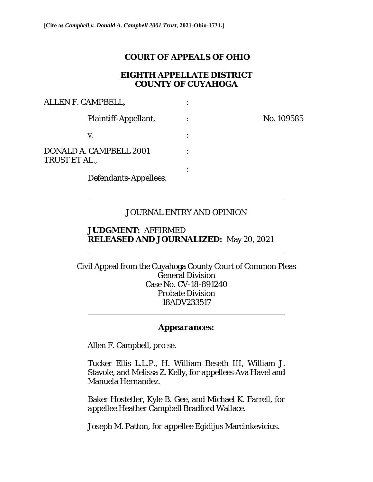## **COURT OF APPEALS OF OHIO**

## **EIGHTH APPELLATE DISTRICT COUNTY OF CUYAHOGA**

No. 109585

| ALLEN F. CAMPBELL,                       |  |
|------------------------------------------|--|
| Plaintiff-Appellant,                     |  |
| V.                                       |  |
| DONALD A. CAMPBELL 2001<br>TRUST ET AL., |  |
|                                          |  |

Defendants-Appellees.

 $\overline{a}$ 

 $\overline{a}$ 

# JOURNAL ENTRY AND OPINION

### **JUDGMENT:** AFFIRMED **RELEASED AND JOURNALIZED:** May 20, 2021

Civil Appeal from the Cuyahoga County Court of Common Pleas General Division Case No. CV-18-891240 Probate Division 18ADV233517  $\overline{a}$ 

### *Appearances:*

Allen F. Campbell, *pro se*.

Tucker Ellis L.L.P., H. William Beseth III, William J. Stavole, and Melissa Z. Kelly, *for appellees* Ava Havel and Manuela Hernandez.

Baker Hostetler, Kyle B. Gee, and Michael K. Farrell, *for appellee* Heather Campbell Bradford Wallace.

Joseph M. Patton, *for appellee* Egidijus Marcinkevicius.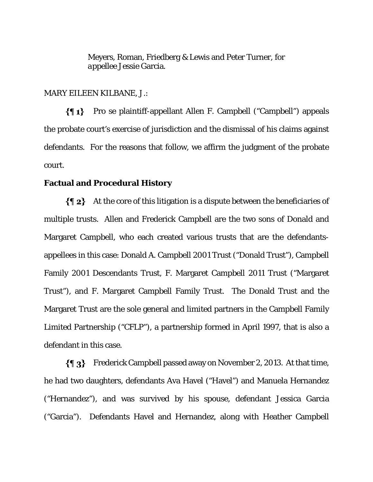Meyers, Roman, Friedberg & Lewis and Peter Turner, *for appellee* Jessie Garcia*.*

#### MARY EILEEN KILBANE, J.:

 $\{ \P 1 \}$ Pro se plaintiff-appellant Allen F. Campbell ("Campbell") appeals the probate court's exercise of jurisdiction and the dismissal of his claims against defendants. For the reasons that follow, we affirm the judgment of the probate court.

#### **Factual and Procedural History**

 $\{\P_2\}$  At the core of this litigation is a dispute between the beneficiaries of multiple trusts. Allen and Frederick Campbell are the two sons of Donald and Margaret Campbell, who each created various trusts that are the defendantsappellees in this case: Donald A. Campbell 2001 Trust ("Donald Trust"), Campbell Family 2001 Descendants Trust, F. Margaret Campbell 2011 Trust ("Margaret Trust"), and F. Margaret Campbell Family Trust. The Donald Trust and the Margaret Trust are the sole general and limited partners in the Campbell Family Limited Partnership ("CFLP"), a partnership formed in April 1997, that is also a defendant in this case.

Frederick Campbell passed away on November 2, 2013. At that time, he had two daughters, defendants Ava Havel ("Havel") and Manuela Hernandez ("Hernandez"), and was survived by his spouse, defendant Jessica Garcia ("Garcia"). Defendants Havel and Hernandez, along with Heather Campbell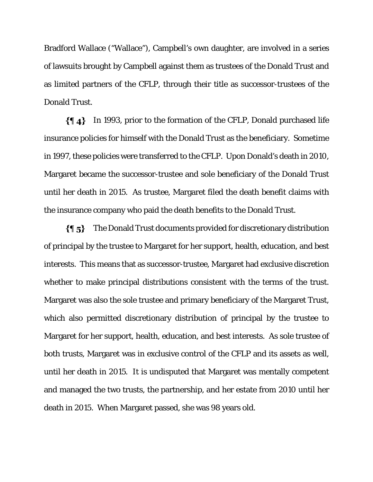Bradford Wallace ("Wallace"), Campbell's own daughter, are involved in a series of lawsuits brought by Campbell against them as trustees of the Donald Trust and as limited partners of the CFLP, through their title as successor-trustees of the Donald Trust.

In 1993, prior to the formation of the CFLP, Donald purchased life insurance policies for himself with the Donald Trust as the beneficiary. Sometime in 1997, these policies were transferred to the CFLP. Upon Donald's death in 2010, Margaret became the successor-trustee and sole beneficiary of the Donald Trust until her death in 2015. As trustee, Margaret filed the death benefit claims with the insurance company who paid the death benefits to the Donald Trust.

The Donald Trust documents provided for discretionary distribution  $\{ \P_5 \}$ of principal by the trustee to Margaret for her support, health, education, and best interests. This means that as successor-trustee, Margaret had exclusive discretion whether to make principal distributions consistent with the terms of the trust. Margaret was also the sole trustee and primary beneficiary of the Margaret Trust, which also permitted discretionary distribution of principal by the trustee to Margaret for her support, health, education, and best interests. As sole trustee of both trusts, Margaret was in exclusive control of the CFLP and its assets as well, until her death in 2015. It is undisputed that Margaret was mentally competent and managed the two trusts, the partnership, and her estate from 2010 until her death in 2015. When Margaret passed, she was 98 years old.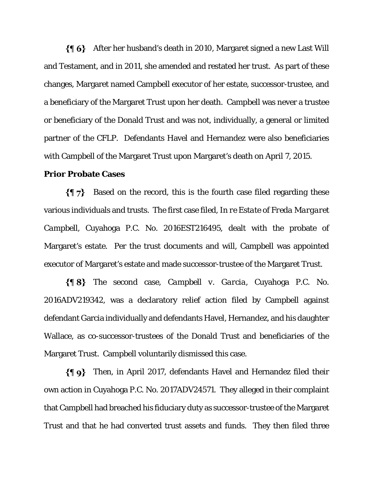After her husband's death in 2010, Margaret signed a new Last Will and Testament, and in 2011, she amended and restated her trust. As part of these changes, Margaret named Campbell executor of her estate, successor-trustee, and a beneficiary of the Margaret Trust upon her death. Campbell was never a trustee or beneficiary of the Donald Trust and was not, individually, a general or limited partner of the CFLP. Defendants Havel and Hernandez were also beneficiaries with Campbell of the Margaret Trust upon Margaret's death on April 7, 2015.

### **Prior Probate Cases**

 $\{\P\}$  Based on the record, this is the fourth case filed regarding these various individuals and trusts. The first case filed, *In re Estate of Freda Margaret Campbell*, Cuyahoga P.C. No. 2016EST216495, dealt with the probate of Margaret's estate. Per the trust documents and will, Campbell was appointed executor of Margaret's estate and made successor-trustee of the Margaret Trust.

The second case, *Campbell v. Garcia*, Cuyahoga P.C. No. 2016ADV219342, was a declaratory relief action filed by Campbell against defendant Garcia individually and defendants Havel, Hernandez, and his daughter Wallace, as co-successor-trustees of the Donald Trust and beneficiaries of the Margaret Trust. Campbell voluntarily dismissed this case.

 $\{\P\$ 9} Then, in April 2017, defendants Havel and Hernandez filed their own action in Cuyahoga P.C. No. 2017ADV24571. They alleged in their complaint that Campbell had breached his fiduciary duty as successor-trustee of the Margaret Trust and that he had converted trust assets and funds. They then filed three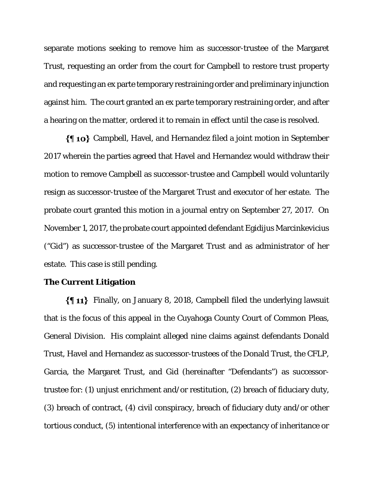separate motions seeking to remove him as successor-trustee of the Margaret Trust, requesting an order from the court for Campbell to restore trust property and requesting an ex parte temporary restraining order and preliminary injunction against him. The court granted an ex parte temporary restraining order, and after a hearing on the matter, ordered it to remain in effect until the case is resolved.

Campbell, Havel, and Hernandez filed a joint motion in September 2017 wherein the parties agreed that Havel and Hernandez would withdraw their motion to remove Campbell as successor-trustee and Campbell would voluntarily resign as successor-trustee of the Margaret Trust and executor of her estate. The probate court granted this motion in a journal entry on September 27, 2017. On November 1, 2017, the probate court appointed defendant Egidijus Marcinkevicius ("Gid") as successor-trustee of the Margaret Trust and as administrator of her estate. This case is still pending.

#### **The Current Litigation**

Finally, on January 8, 2018, Campbell filed the underlying lawsuit that is the focus of this appeal in the Cuyahoga County Court of Common Pleas, General Division. His complaint alleged nine claims against defendants Donald Trust, Havel and Hernandez as successor-trustees of the Donald Trust, the CFLP, Garcia, the Margaret Trust, and Gid (hereinafter "Defendants") as successortrustee for: (1) unjust enrichment and/or restitution, (2) breach of fiduciary duty, (3) breach of contract, (4) civil conspiracy, breach of fiduciary duty and/or other tortious conduct, (5) intentional interference with an expectancy of inheritance or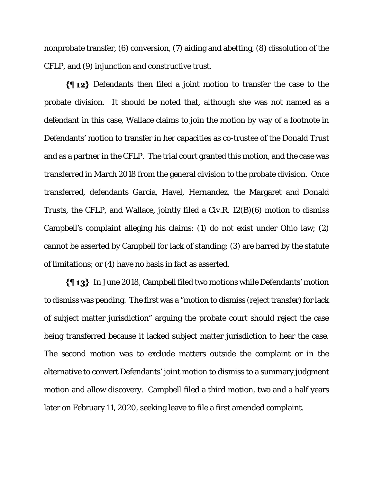nonprobate transfer, (6) conversion, (7) aiding and abetting, (8) dissolution of the CFLP, and (9) injunction and constructive trust.

 $\{\P 12\}$  Defendants then filed a joint motion to transfer the case to the probate division. It should be noted that, although she was not named as a defendant in this case, Wallace claims to join the motion by way of a footnote in Defendants' motion to transfer in her capacities as co-trustee of the Donald Trust and as a partner in the CFLP. The trial court granted this motion, and the case was transferred in March 2018 from the general division to the probate division. Once transferred, defendants Garcia, Havel, Hernandez, the Margaret and Donald Trusts, the CFLP, and Wallace, jointly filed a Civ.R. 12(B)(6) motion to dismiss Campbell's complaint alleging his claims: (1) do not exist under Ohio law; (2) cannot be asserted by Campbell for lack of standing; (3) are barred by the statute of limitations; or (4) have no basis in fact as asserted.

In June 2018, Campbell filed two motions while Defendants' motion to dismiss was pending. The first was a "motion to dismiss (reject transfer) for lack of subject matter jurisdiction" arguing the probate court should reject the case being transferred because it lacked subject matter jurisdiction to hear the case. The second motion was to exclude matters outside the complaint or in the alternative to convert Defendants' joint motion to dismiss to a summary judgment motion and allow discovery. Campbell filed a third motion, two and a half years later on February 11, 2020, seeking leave to file a first amended complaint.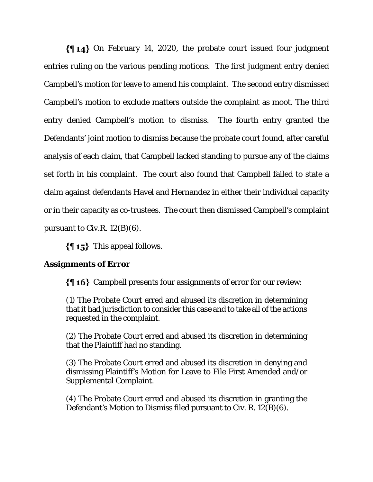$\{\{\,\,\,\,\,\}\$  On February 14, 2020, the probate court issued four judgment entries ruling on the various pending motions. The first judgment entry denied Campbell's motion for leave to amend his complaint. The second entry dismissed Campbell's motion to exclude matters outside the complaint as moot. The third entry denied Campbell's motion to dismiss. The fourth entry granted the Defendants' joint motion to dismiss because the probate court found, after careful analysis of each claim, that Campbell lacked standing to pursue any of the claims set forth in his complaint. The court also found that Campbell failed to state a claim against defendants Havel and Hernandez in either their individual capacity or in their capacity as co-trustees. The court then dismissed Campbell's complaint pursuant to Civ.R.  $12(B)(6)$ .

 $\{\P_1, \P_2\}$  This appeal follows.

## **Assignments of Error**

 $\{ \phi\}$  Campbell presents four assignments of error for our review:

(1) The Probate Court erred and abused its discretion in determining that it had jurisdiction to consider this case and to take all of the actions requested in the complaint.

(2) The Probate Court erred and abused its discretion in determining that the Plaintiff had no standing.

(3) The Probate Court erred and abused its discretion in denying and dismissing Plaintiff's Motion for Leave to File First Amended and/or Supplemental Complaint.

(4) The Probate Court erred and abused its discretion in granting the Defendant's Motion to Dismiss filed pursuant to Civ. R. 12(B)(6).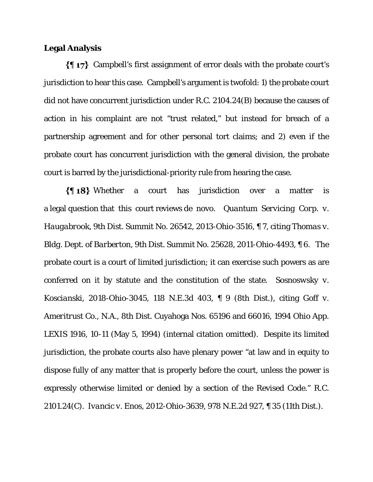## **Legal Analysis**

Campbell's first assignment of error deals with the probate court's jurisdiction to hear this case. Campbell's argument is twofold: 1) the probate court did not have concurrent jurisdiction under R.C. 2104.24(B) because the causes of action in his complaint are not "trust related," but instead for breach of a partnership agreement and for other personal tort claims; and 2) even if the probate court has concurrent jurisdiction with the general division, the probate court is barred by the jurisdictional-priority rule from hearing the case.

Whether a court has jurisdiction over a matter is a legal question that this court reviews de novo. *Quantum Servicing Corp. v. Haugabrook*, 9th Dist. Summit No. 26542, 2013-Ohio-3516, ¶ 7, citing *Thomas v. Bldg. Dept. of Barberton*, 9th Dist. Summit No. 25628, 2011-Ohio-4493, ¶ 6. The probate court is a court of limited jurisdiction; it can exercise such powers as are conferred on it by statute and the constitution of the state. *Sosnoswsky v. Koscianski*, 2018-Ohio-3045, 118 N.E.3d 403, ¶ 9 (8th Dist.), citing *Goff v. Ameritrust Co.*, *N.A.*, 8th Dist. Cuyahoga Nos. 65196 and 66016, 1994 Ohio App. LEXIS 1916, 10-11 (May 5, 1994) (internal citation omitted). Despite its limited jurisdiction, the probate courts also have plenary power "at law and in equity to dispose fully of any matter that is properly before the court, unless the power is expressly otherwise limited or denied by a section of the Revised Code." R.C. 2101.24(C). *Ivancic v. Enos*, 2012-Ohio-3639, 978 N.E.2d 927, ¶ 35 (11th Dist.).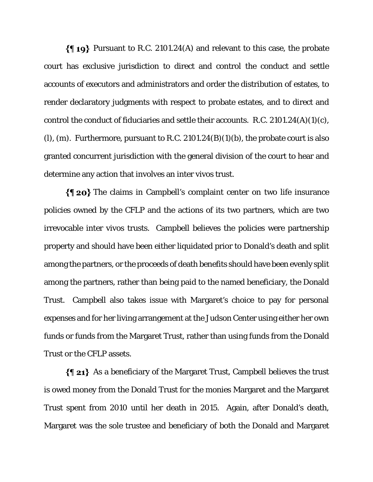$\{\P 19\}$  Pursuant to R.C. 2101.24(A) and relevant to this case, the probate court has exclusive jurisdiction to direct and control the conduct and settle accounts of executors and administrators and order the distribution of estates, to render declaratory judgments with respect to probate estates, and to direct and control the conduct of fiduciaries and settle their accounts. R.C. 2101.24(A)(1)(c), (l), (m). Furthermore, pursuant to R.C.  $2101.24(B)(1)(b)$ , the probate court is also granted concurrent jurisdiction with the general division of the court to hear and determine any action that involves an inter vivos trust.

 $\{\P$  20} The claims in Campbell's complaint center on two life insurance policies owned by the CFLP and the actions of its two partners, which are two irrevocable inter vivos trusts. Campbell believes the policies were partnership property and should have been either liquidated prior to Donald's death and split among the partners, or the proceeds of death benefits should have been evenly split among the partners, rather than being paid to the named beneficiary, the Donald Trust. Campbell also takes issue with Margaret's choice to pay for personal expenses and for her living arrangement at the Judson Center using either her own funds or funds from the Margaret Trust, rather than using funds from the Donald Trust or the CFLP assets.

 $\{\P 21\}$  As a beneficiary of the Margaret Trust, Campbell believes the trust is owed money from the Donald Trust for the monies Margaret and the Margaret Trust spent from 2010 until her death in 2015. Again, after Donald's death, Margaret was the sole trustee and beneficiary of both the Donald and Margaret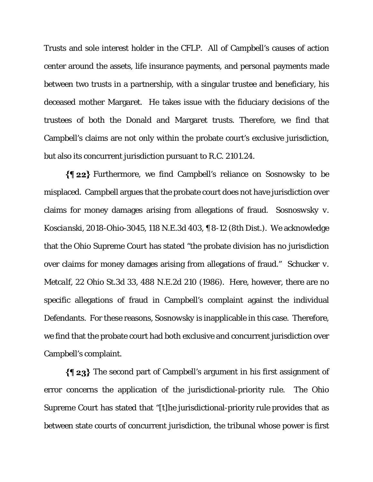Trusts and sole interest holder in the CFLP. All of Campbell's causes of action center around the assets, life insurance payments, and personal payments made between two trusts in a partnership, with a singular trustee and beneficiary, his deceased mother Margaret. He takes issue with the fiduciary decisions of the trustees of both the Donald and Margaret trusts. Therefore, we find that Campbell's claims are not only within the probate court's exclusive jurisdiction, but also its concurrent jurisdiction pursuant to R.C. 2101.24.

Furthermore, we find Campbell's reliance on *Sosnowsky* to be misplaced. Campbell argues that the probate court does not have jurisdiction over claims for money damages arising from allegations of fraud. *Sosnoswsky v. Koscianski*, 2018-Ohio-3045, 118 N.E.3d 403, ¶ 8-12 (8th Dist.). We acknowledge that the Ohio Supreme Court has stated "the probate division has no jurisdiction over claims for money damages arising from allegations of fraud." *Schucker v. Metcalf*, 22 Ohio St.3d 33, 488 N.E.2d 210 (1986). Here, however, there are no specific allegations of fraud in Campbell's complaint against the individual Defendants. For these reasons, *Sosnowsky* is inapplicable in this case. Therefore, we find that the probate court had both exclusive and concurrent jurisdiction over Campbell's complaint.

 $\{\P 23\}$  The second part of Campbell's argument in his first assignment of error concerns the application of the jurisdictional-priority rule. The Ohio Supreme Court has stated that "[t]he jurisdictional-priority rule provides that as between state courts of concurrent jurisdiction, the tribunal whose power is first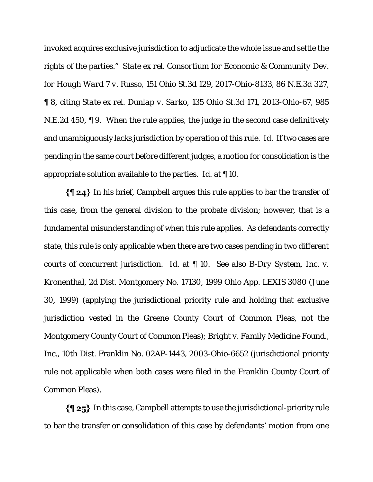invoked acquires exclusive jurisdiction to adjudicate the whole issue and settle the rights of the parties." *State ex rel. Consortium for Economic & Community Dev. for Hough Ward 7 v. Russo*, 151 Ohio St.3d 129, 2017-Ohio-8133, 86 N.E.3d 327, ¶ 8, citing *State ex rel. Dunlap v. Sarko*, 135 Ohio St.3d 171, 2013-Ohio-67, 985 N.E.2d 450, ¶ 9. When the rule applies, the judge in the second case definitively and unambiguously lacks jurisdiction by operation of this rule. *Id*. If two cases are pending in the same court before different judges, a motion for consolidation is the appropriate solution available to the parties. *Id*. at ¶ 10.

 $\{\P 24\}$  In his brief, Campbell argues this rule applies to bar the transfer of this case, from the general division to the probate division; however, that is a fundamental misunderstanding of when this rule applies. As defendants correctly state, this rule is only applicable when there are two cases pending in two different courts of concurrent jurisdiction. *Id*. at ¶ 10. *See also B-Dry System, Inc. v. Kronenthal*, 2d Dist. Montgomery No. 17130, 1999 Ohio App. LEXIS 3080 (June 30, 1999) (applying the jurisdictional priority rule and holding that exclusive jurisdiction vested in the Greene County Court of Common Pleas, not the Montgomery County Court of Common Pleas); *Bright v. Family Medicine Found., Inc.*, 10th Dist. Franklin No. 02AP-1443, 2003-Ohio-6652 (jurisdictional priority rule not applicable when both cases were filed in the Franklin County Court of Common Pleas).

In this case, Campbell attempts to use the jurisdictional-priority rule to bar the transfer or consolidation of this case by defendants' motion from one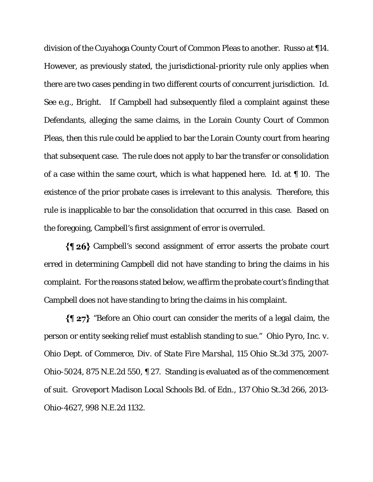division of the Cuyahoga County Court of Common Pleas to another. *Russo* at ¶14. However, as previously stated, the jurisdictional-priority rule only applies when there are two cases pending in two different courts of concurrent jurisdiction. *Id*. *See e.g.*, *Bright.* If Campbell had subsequently filed a complaint against these Defendants, alleging the same claims, in the Lorain County Court of Common Pleas, then this rule could be applied to bar the Lorain County court from hearing that subsequent case. The rule does not apply to bar the transfer or consolidation of a case within the same court, which is what happened here. *Id*. at ¶ 10. The existence of the prior probate cases is irrelevant to this analysis. Therefore, this rule is inapplicable to bar the consolidation that occurred in this case. Based on the foregoing, Campbell's first assignment of error is overruled.

 $\{ \phi \}$  Campbell's second assignment of error asserts the probate court erred in determining Campbell did not have standing to bring the claims in his complaint. For the reasons stated below, we affirm the probate court's finding that Campbell does not have standing to bring the claims in his complaint.

 $\{\P 27\}$  "Before an Ohio court can consider the merits of a legal claim, the person or entity seeking relief must establish standing to sue." *Ohio Pyro, Inc. v. Ohio Dept. of Commerce, Div. of State Fire Marshal,* 115 Ohio St.3d 375, 2007- Ohio-5024, 875 N.E.2d 550, ¶ 27. Standing is evaluated as of the commencement of suit. *Groveport Madison Local Schools Bd. of Edn*., 137 Ohio St.3d 266, 2013- Ohio-4627, 998 N.E.2d 1132.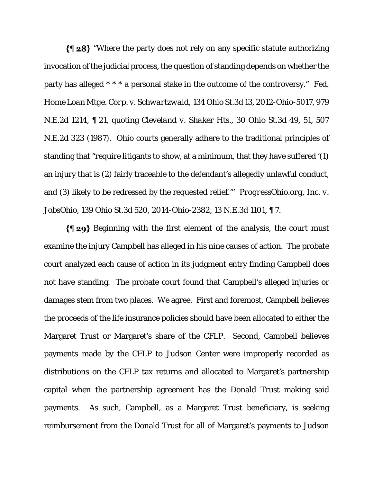$\{\P 28\}$  "Where the party does not rely on any specific statute authorizing invocation of the judicial process, the question of standing depends on whether the party has alleged \* \* \* a personal stake in the outcome of the controversy." *Fed. Home Loan Mtge. Corp. v. Schwartzwald,* 134 Ohio St.3d 13, 2012-Ohio-5017, 979 N.E.2d 1214, ¶ 21, quoting *Cleveland v. Shaker Hts.*, 30 Ohio St.3d 49, 51, 507 N.E.2d 323 (1987). Ohio courts generally adhere to the traditional principles of standing that "require litigants to show, at a minimum, that they have suffered '(1) an injury that is (2) fairly traceable to the defendant's allegedly unlawful conduct, and (3) likely to be redressed by the requested relief."' *ProgressOhio.org, Inc. v. JobsOhio*, 139 Ohio St.3d 520, 2014-Ohio-2382, 13 N.E.3d 1101, ¶ 7.

 $\{\P 29\}$  Beginning with the first element of the analysis, the court must examine the injury Campbell has alleged in his nine causes of action. The probate court analyzed each cause of action in its judgment entry finding Campbell does not have standing. The probate court found that Campbell's alleged injuries or damages stem from two places. We agree. First and foremost, Campbell believes the proceeds of the life insurance policies should have been allocated to either the Margaret Trust or Margaret's share of the CFLP. Second, Campbell believes payments made by the CFLP to Judson Center were improperly recorded as distributions on the CFLP tax returns and allocated to Margaret's partnership capital when the partnership agreement has the Donald Trust making said payments. As such, Campbell, as a Margaret Trust beneficiary, is seeking reimbursement from the Donald Trust for all of Margaret's payments to Judson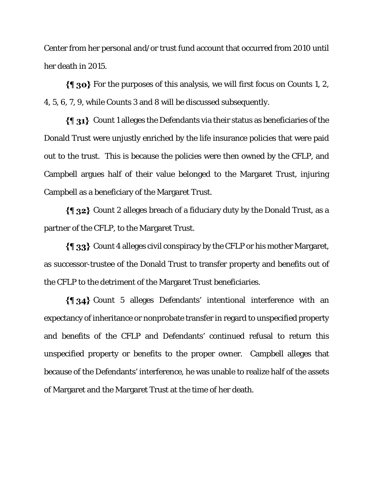Center from her personal and/or trust fund account that occurred from 2010 until her death in 2015.

 $\{\P$  30} For the purposes of this analysis, we will first focus on Counts 1, 2, 4, 5, 6, 7, 9, while Counts 3 and 8 will be discussed subsequently.

Count 1 alleges the Defendants via their status as beneficiaries of the Donald Trust were unjustly enriched by the life insurance policies that were paid out to the trust. This is because the policies were then owned by the CFLP, and Campbell argues half of their value belonged to the Margaret Trust, injuring Campbell as a beneficiary of the Margaret Trust.

Count 2 alleges breach of a fiduciary duty by the Donald Trust, as a partner of the CFLP, to the Margaret Trust.

 $\{\P_3\}$  Count 4 alleges civil conspiracy by the CFLP or his mother Margaret, as successor-trustee of the Donald Trust to transfer property and benefits out of the CFLP to the detriment of the Margaret Trust beneficiaries.

Count 5 alleges Defendants' intentional interference with an expectancy of inheritance or nonprobate transfer in regard to unspecified property and benefits of the CFLP and Defendants' continued refusal to return this unspecified property or benefits to the proper owner. Campbell alleges that because of the Defendants' interference, he was unable to realize half of the assets of Margaret and the Margaret Trust at the time of her death.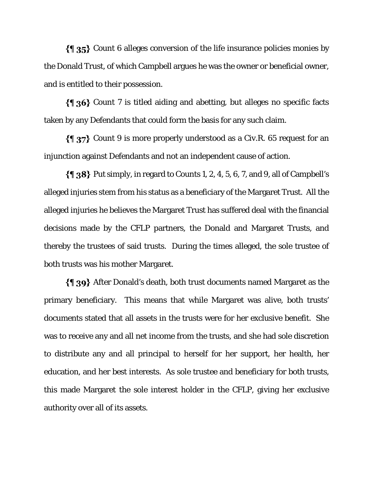$\{\P\$  35} Count 6 alleges conversion of the life insurance policies monies by the Donald Trust, of which Campbell argues he was the owner or beneficial owner, and is entitled to their possession.

 $\{\{\}\$  36} Count 7 is titled aiding and abetting, but alleges no specific facts taken by any Defendants that could form the basis for any such claim.

 $\{\P\}$  27} Count 9 is more properly understood as a Civ.R. 65 request for an injunction against Defendants and not an independent cause of action.

 $\{\P_38\}$  Put simply, in regard to Counts 1, 2, 4, 5, 6, 7, and 9, all of Campbell's alleged injuries stem from his status as a beneficiary of the Margaret Trust. All the alleged injuries he believes the Margaret Trust has suffered deal with the financial decisions made by the CFLP partners, the Donald and Margaret Trusts, and thereby the trustees of said trusts. During the times alleged, the sole trustee of both trusts was his mother Margaret.

After Donald's death, both trust documents named Margaret as the primary beneficiary. This means that while Margaret was alive, both trusts' documents stated that all assets in the trusts were for her exclusive benefit. She was to receive any and all net income from the trusts, and she had sole discretion to distribute any and all principal to herself for her support, her health, her education, and her best interests. As sole trustee and beneficiary for both trusts, this made Margaret the sole interest holder in the CFLP, giving her exclusive authority over all of its assets.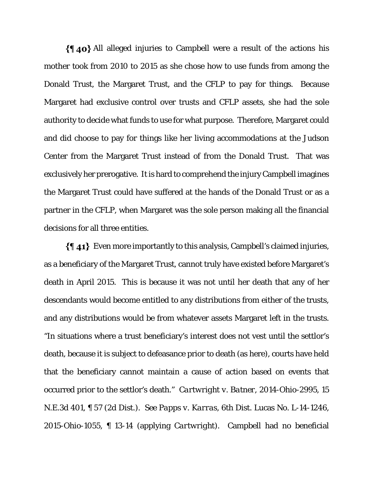$\{\P\}$ 40} All alleged injuries to Campbell were a result of the actions his mother took from 2010 to 2015 as she chose how to use funds from among the Donald Trust, the Margaret Trust, and the CFLP to pay for things. Because Margaret had exclusive control over trusts and CFLP assets, she had the sole authority to decide what funds to use for what purpose. Therefore, Margaret could and did choose to pay for things like her living accommodations at the Judson Center from the Margaret Trust instead of from the Donald Trust. That was exclusively her prerogative. It is hard to comprehend the injury Campbell imagines the Margaret Trust could have suffered at the hands of the Donald Trust or as a partner in the CFLP, when Margaret was the sole person making all the financial decisions for all three entities.

Even more importantly to this analysis, Campbell's claimed injuries, as a beneficiary of the Margaret Trust, cannot truly have existed before Margaret's death in April 2015. This is because it was not until her death that any of her descendants would become entitled to any distributions from either of the trusts, and any distributions would be from whatever assets Margaret left in the trusts. "In situations where a trust beneficiary's interest does not vest until the settlor's death, because it is subject to defeasance prior to death (as here), courts have held that the beneficiary cannot maintain a cause of action based on events that occurred prior to the settlor's death." *Cartwright v. Batner,* 2014-Ohio-2995, 15 N.E.3d 401, ¶ 57 (2d Dist.). *See Papps v. Karras*, 6th Dist. Lucas No. L-14-1246, 2015-Ohio-1055, ¶ 13-14 (applying *Cartwright*). Campbell had no beneficial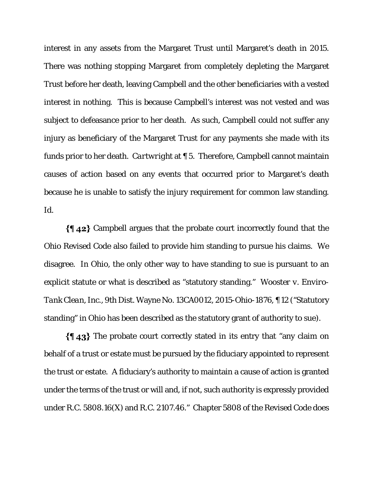interest in any assets from the Margaret Trust until Margaret's death in 2015. There was nothing stopping Margaret from completely depleting the Margaret Trust before her death, leaving Campbell and the other beneficiaries with a vested interest in nothing. This is because Campbell's interest was not vested and was subject to defeasance prior to her death. As such, Campbell could not suffer any injury as beneficiary of the Margaret Trust for any payments she made with its funds prior to her death. *Cartwright* at ¶ 5. Therefore, Campbell cannot maintain causes of action based on any events that occurred prior to Margaret's death because he is unable to satisfy the injury requirement for common law standing. *Id*.

Campbell argues that the probate court incorrectly found that the Ohio Revised Code also failed to provide him standing to pursue his claims. We disagree. In Ohio, the only other way to have standing to sue is pursuant to an explicit statute or what is described as "statutory standing." *Wooster v. Enviro-Tank Clean, Inc.,* 9th Dist. Wayne No. 13CA0012, 2015-Ohio-1876, ¶ 12 ("Statutory standing" in Ohio has been described as the statutory grant of authority to sue).

The probate court correctly stated in its entry that "any claim on behalf of a trust or estate must be pursued by the fiduciary appointed to represent the trust or estate. A fiduciary's authority to maintain a cause of action is granted under the terms of the trust or will and, if not, such authority is expressly provided under R.C. 5808.16(X) and R.C. 2107.46." Chapter 5808 of the Revised Code does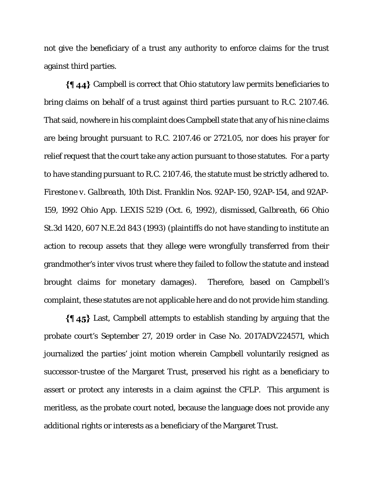not give the beneficiary of a trust any authority to enforce claims for the trust against third parties.

Campbell is correct that Ohio statutory law permits beneficiaries to bring claims on behalf of a trust against third parties pursuant to R.C. 2107.46. That said, nowhere in his complaint does Campbell state that any of his nine claims are being brought pursuant to R.C. 2107.46 or 2721.05, nor does his prayer for relief request that the court take any action pursuant to those statutes. For a party to have standing pursuant to R.C. 2107.46, the statute must be strictly adhered to. *Firestone v. Galbreath*, 10th Dist. Franklin Nos. 92AP-150, 92AP-154, and 92AP-159, 1992 Ohio App. LEXIS 5219 (Oct. 6, 1992), *dismissed*, *Galbreath*, 66 Ohio St.3d 1420, 607 N.E.2d 843 (1993) (plaintiffs do not have standing to institute an action to recoup assets that they allege were wrongfully transferred from their grandmother's inter vivos trust where they failed to follow the statute and instead brought claims for monetary damages). Therefore, based on Campbell's complaint, these statutes are not applicable here and do not provide him standing.

Last, Campbell attempts to establish standing by arguing that the probate court's September 27, 2019 order in Case No. 2017ADV224571, which journalized the parties' joint motion wherein Campbell voluntarily resigned as successor-trustee of the Margaret Trust, preserved his right as a beneficiary to assert or protect any interests in a claim against the CFLP. This argument is meritless, as the probate court noted, because the language does not provide any additional rights or interests as a beneficiary of the Margaret Trust.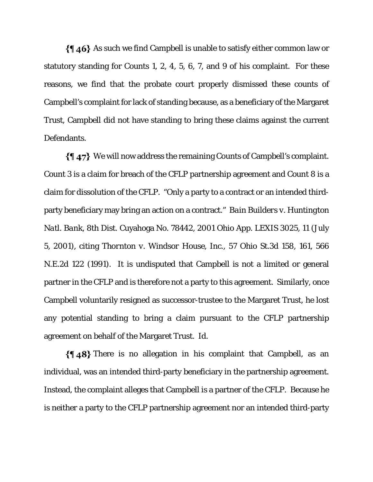$\{\P\}$  46} As such we find Campbell is unable to satisfy either common law or statutory standing for Counts 1, 2, 4, 5, 6, 7, and 9 of his complaint. For these reasons, we find that the probate court properly dismissed these counts of Campbell's complaint for lack of standing because, as a beneficiary of the Margaret Trust, Campbell did not have standing to bring these claims against the current Defendants.

We will now address the remaining Counts of Campbell's complaint. Count 3 is a claim for breach of the CFLP partnership agreement and Count 8 is a claim for dissolution of the CFLP. "Only a party to a contract or an intended thirdparty beneficiary may bring an action on a contract." *Bain Builders v. Huntington Natl. Bank*, 8th Dist. Cuyahoga No. 78442, 2001 Ohio App. LEXIS 3025, 11 (July 5, 2001), citing *Thornton v. Windsor House*, Inc., 57 Ohio St.3d 158, 161, 566 N.E.2d 122 (1991). It is undisputed that Campbell is not a limited or general partner in the CFLP and is therefore not a party to this agreement. Similarly, once Campbell voluntarily resigned as successor-trustee to the Margaret Trust, he lost any potential standing to bring a claim pursuant to the CFLP partnership agreement on behalf of the Margaret Trust. *Id*.

 $\{\$\,48\}$  There is no allegation in his complaint that Campbell, as an individual, was an intended third-party beneficiary in the partnership agreement. Instead, the complaint alleges that Campbell is a partner of the CFLP. Because he is neither a party to the CFLP partnership agreement nor an intended third-party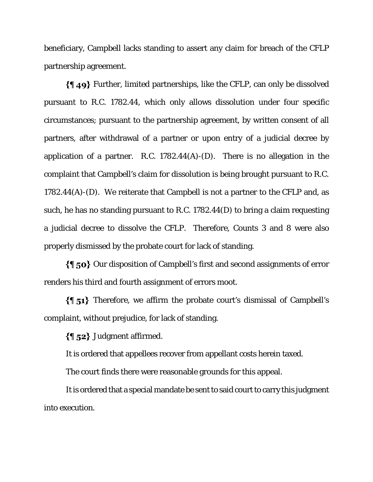beneficiary, Campbell lacks standing to assert any claim for breach of the CFLP partnership agreement.

Further, limited partnerships, like the CFLP, can only be dissolved pursuant to R.C. 1782.44, which only allows dissolution under four specific circumstances; pursuant to the partnership agreement, by written consent of all partners, after withdrawal of a partner or upon entry of a judicial decree by application of a partner. R.C.  $1782.44(A)$ -(D). There is no allegation in the complaint that Campbell's claim for dissolution is being brought pursuant to R.C. 1782.44(A)-(D). We reiterate that Campbell is not a partner to the CFLP and, as such, he has no standing pursuant to R.C. 1782.44(D) to bring a claim requesting a judicial decree to dissolve the CFLP. Therefore, Counts 3 and 8 were also properly dismissed by the probate court for lack of standing.

 $\{\P\}$  50} Our disposition of Campbell's first and second assignments of error renders his third and fourth assignment of errors moot.

 $\{\{\}$  51} Therefore, we affirm the probate court's dismissal of Campbell's complaint, without prejudice, for lack of standing.

 $\{\$\,52\}$  Judgment affirmed.

It is ordered that appellees recover from appellant costs herein taxed.

The court finds there were reasonable grounds for this appeal.

It is ordered that a special mandate be sent to said court to carry this judgment into execution.